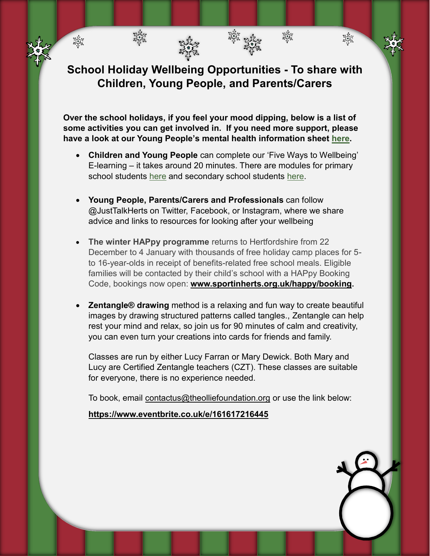**School Holiday Wellbeing Opportunities - To share with Children, Young People, and Parents/Carers**

紫紫

淡紫

淼

**Over the school holidays, if you feel your mood dipping, below is a list of some activities you can get involved in. If you need more support, please have a look at our Young People's mental health information sheet [here.](https://www.justtalkherts.org/media/documents/professionals/other/150221-ccg-gp-newsletter-information-for-children-and-young-people-about-mental-health-and-wellbeing-during-coronavirus-february-2021.pdf)**

- **Children and Young People** can complete our 'Five Ways to Wellbeing' E-learning – it takes around 20 minutes. There are modules for primary school students [here](https://www.justtalkherts.org/e-learning/five-ways-children/index.html) and secondary school students [here.](https://www.justtalkherts.org/e-learning/five-ways-young-people/index.html)
- **Young People, Parents/Carers and Professionals** can follow @JustTalkHerts on Twitter, Facebook, or Instagram, where we share advice and links to resources for looking after your wellbeing
- **The winter HAPpy programme** returns to Hertfordshire from 22 December to 4 January with thousands of free holiday camp places for 5 to 16-year-olds in receipt of benefits-related free school meals. Eligible families will be contacted by their child's school with a HAPpy Booking Code, bookings now open: **[www.sportinherts.org.uk/happy/booking](http://www.sportinherts.org.uk/happy/booking).**
- **Zentangle® drawing** method is a relaxing and fun way to create beautiful images by drawing structured patterns called tangles., Zentangle can help rest your mind and relax, so join us for 90 minutes of calm and creativity, you can even turn your creations into cards for friends and family.

Classes are run by either Lucy Farran or Mary Dewick. Both Mary and Lucy are Certified Zentangle teachers (CZT). These classes are suitable for everyone, there is no experience needed.

To book, email [contactus@theolliefoundation.org](mailto:contactus@theolliefoundation.org) or use the link below:

**<https://www.eventbrite.co.uk/e/161617216445>**